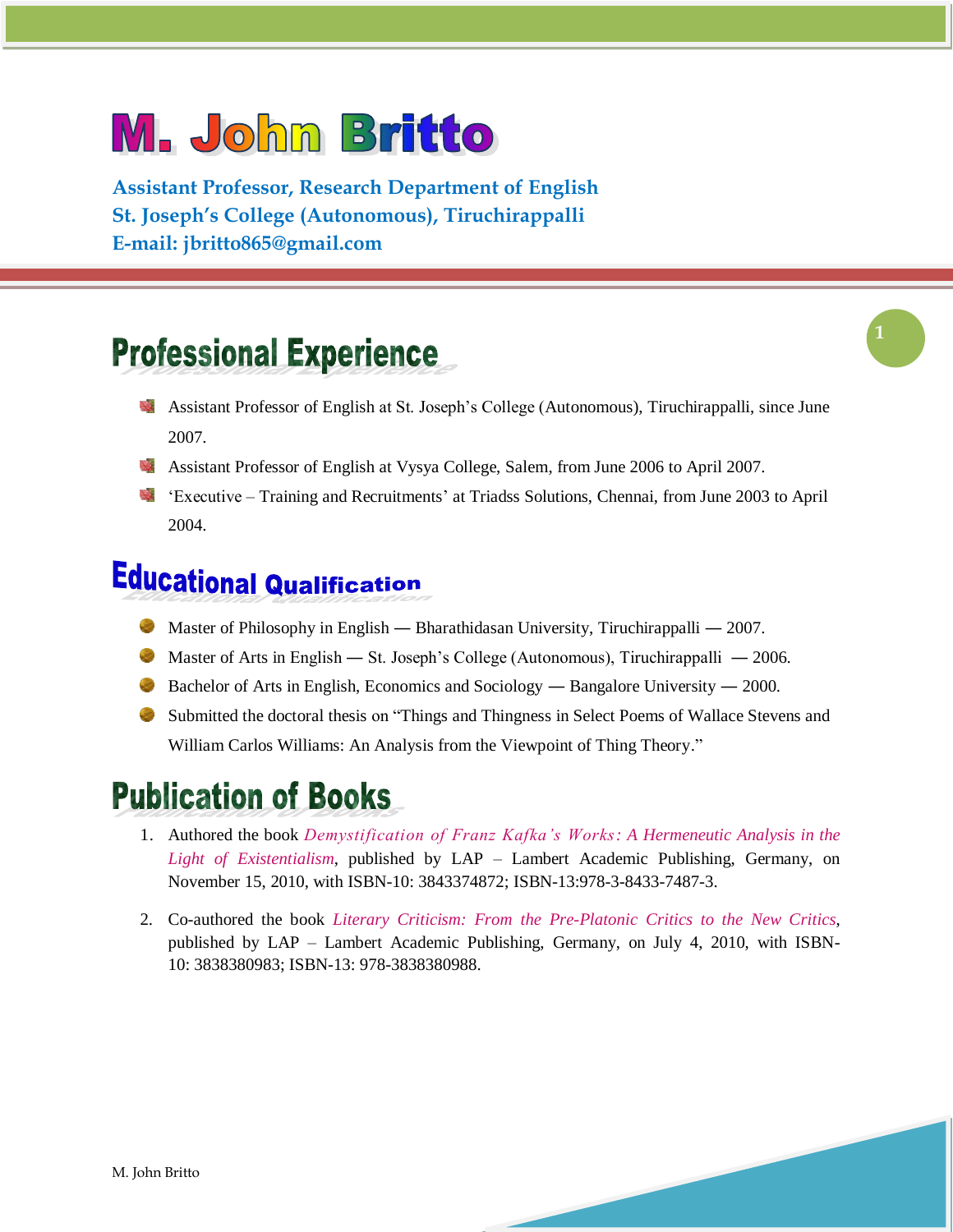# **M. John Britto**

**Assistant Professor, Research Department of English St. Joseph's College (Autonomous), Tiruchirappalli E-mail: [jbritto865@gmail.com](mailto:jbritto865@gmail.com)**

## **Professional Experience**

- Assistant Professor of English at St. Joseph"s College (Autonomous), Tiruchirappalli, since June ц, 2007.
- Assistant Professor of English at Vysya College, Salem, from June 2006 to April 2007.
- "Executive Training and Recruitments" at Triadss Solutions, Chennai, from June 2003 to April 2004.

#### **Educational Qualification**

- Master of Philosophy in English Bharathidasan University, Tiruchirappalli 2007.
- Master of Arts in English St. Joseph's College (Autonomous), Tiruchirappalli 2006.
- Bachelor of Arts in English, Economics and Sociology Bangalore University 2000.
- Submitted the doctoral thesis on "Things and Thingness in Select Poems of Wallace Stevens and William Carlos Williams: An Analysis from the Viewpoint of Thing Theory."

## **Publication of Books**

- 1. Authored the book *Demystification of Franz Kafka's Works: A Hermeneutic Analysis in the Light of Existentialism*, published by LAP – Lambert Academic Publishing, Germany, on November 15, 2010, with ISBN-10: 3843374872; ISBN-13:978-3-8433-7487-3.
- 2. Co-authored the book *Literary Criticism: From the Pre-Platonic Critics to the New Critics*, published by LAP – Lambert Academic Publishing, Germany, on July 4, 2010, with ISBN-10: 3838380983; ISBN-13: 978-3838380988.



**1**

M. John Britto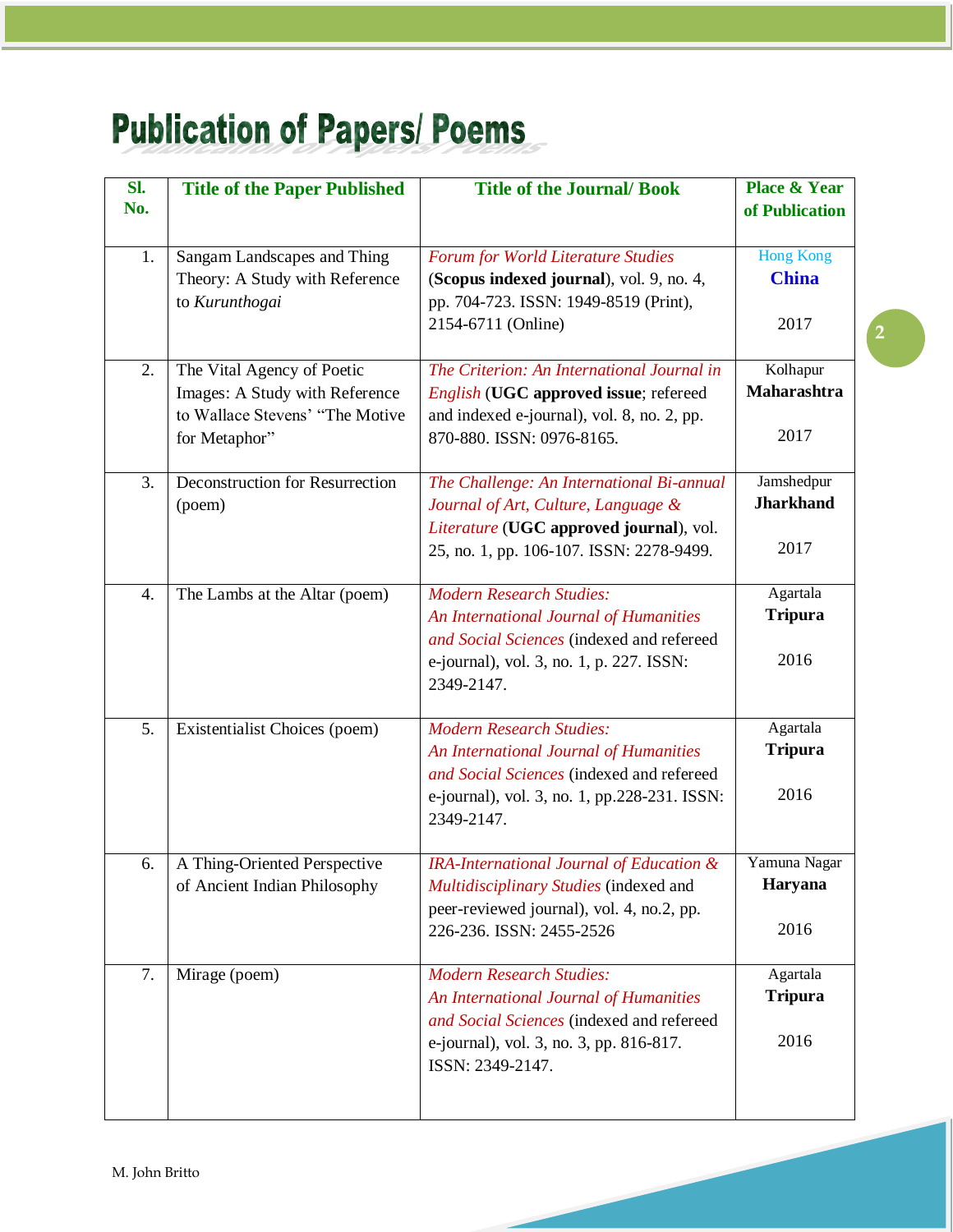# **Publication of Papers/Poems**

| Sl.<br>No. | <b>Title of the Paper Published</b>                                             | <b>Title of the Journal/Book</b>                                                                                        | <b>Place &amp; Year</b><br>of Publication |
|------------|---------------------------------------------------------------------------------|-------------------------------------------------------------------------------------------------------------------------|-------------------------------------------|
| 1.         | Sangam Landscapes and Thing<br>Theory: A Study with Reference<br>to Kurunthogai | Forum for World Literature Studies<br>(Scopus indexed journal), vol. 9, no. 4,<br>pp. 704-723. ISSN: 1949-8519 (Print), | <b>Hong Kong</b><br><b>China</b>          |
|            |                                                                                 | 2154-6711 (Online)                                                                                                      | 2017                                      |
| 2.         | The Vital Agency of Poetic<br>Images: A Study with Reference                    | The Criterion: An International Journal in<br>English (UGC approved issue; refereed                                     | Kolhapur<br>Maharashtra                   |
|            | to Wallace Stevens' "The Motive<br>for Metaphor"                                | and indexed e-journal), vol. 8, no. 2, pp.<br>870-880. ISSN: 0976-8165.                                                 | 2017                                      |
| 3.         | Deconstruction for Resurrection<br>(poem)                                       | The Challenge: An International Bi-annual<br>Journal of Art, Culture, Language &                                        | Jamshedpur<br><b>Jharkhand</b>            |
|            |                                                                                 | Literature (UGC approved journal), vol.<br>25, no. 1, pp. 106-107. ISSN: 2278-9499.                                     | 2017                                      |
| 4.         | The Lambs at the Altar (poem)                                                   | <b>Modern Research Studies:</b><br>An International Journal of Humanities<br>and Social Sciences (indexed and refereed  | Agartala<br><b>Tripura</b>                |
|            |                                                                                 | e-journal), vol. 3, no. 1, p. 227. ISSN:<br>2349-2147.                                                                  | 2016                                      |
| 5.         | Existentialist Choices (poem)                                                   | <b>Modern Research Studies:</b><br>An International Journal of Humanities                                               | Agartala<br><b>Tripura</b>                |
|            |                                                                                 | and Social Sciences (indexed and refereed<br>e-journal), vol. 3, no. 1, pp.228-231. ISSN:<br>2349-2147.                 | 2016                                      |
| 6.         | A Thing-Oriented Perspective<br>of Ancient Indian Philosophy                    | IRA-International Journal of Education &<br>Multidisciplinary Studies (indexed and                                      | Yamuna Nagar<br>Haryana                   |
|            |                                                                                 | peer-reviewed journal), vol. 4, no.2, pp.<br>226-236. ISSN: 2455-2526                                                   | 2016                                      |
| 7.         | Mirage (poem)                                                                   | <b>Modern Research Studies:</b><br>An International Journal of Humanities                                               | Agartala<br><b>Tripura</b>                |
|            |                                                                                 | and Social Sciences (indexed and refereed<br>e-journal), vol. 3, no. 3, pp. 816-817.<br>ISSN: 2349-2147.                | 2016                                      |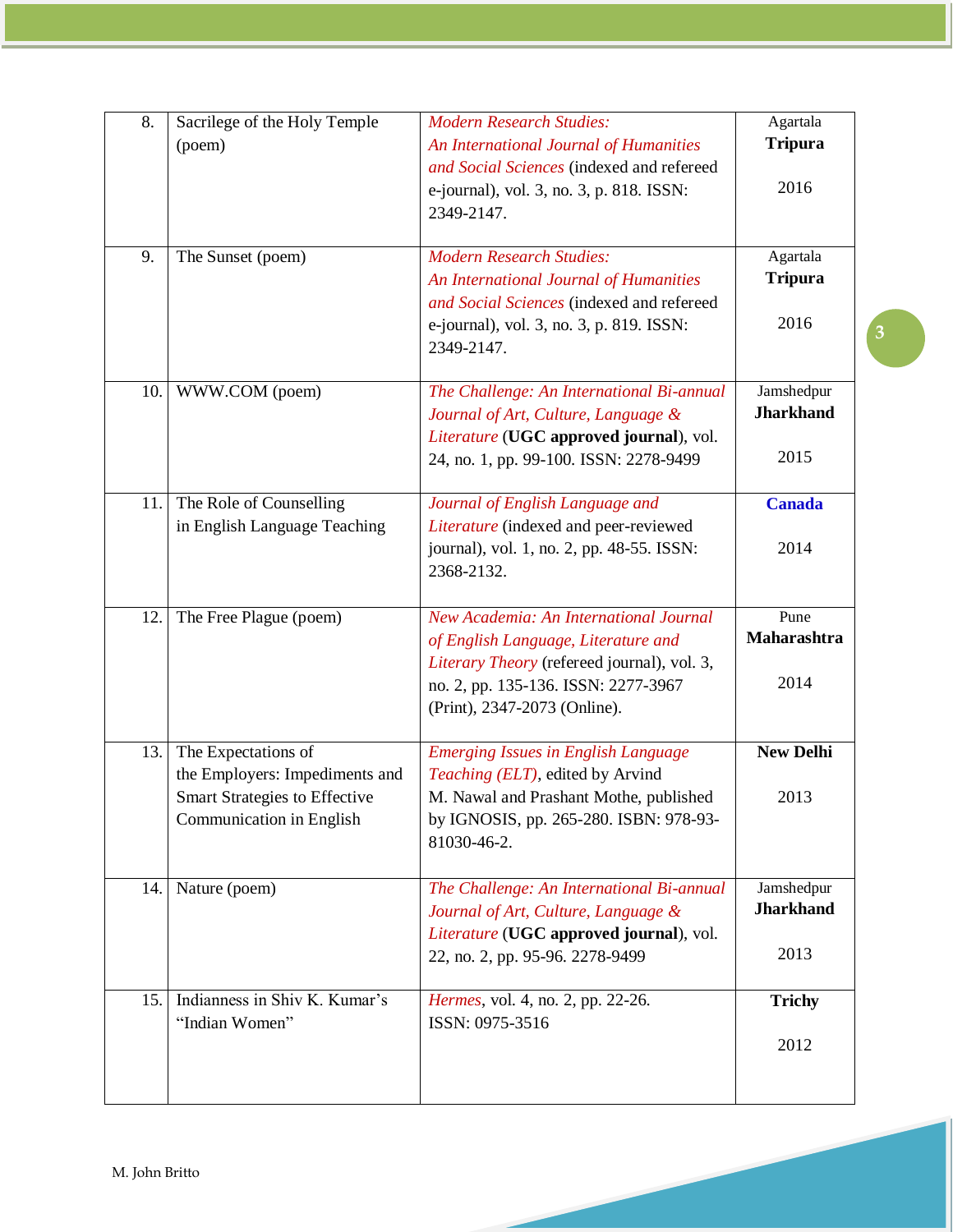| 8.  | Sacrilege of the Holy Temple                                     | <b>Modern Research Studies:</b>                                                       | Agartala         |
|-----|------------------------------------------------------------------|---------------------------------------------------------------------------------------|------------------|
|     | (poem)                                                           | An International Journal of Humanities                                                | <b>Tripura</b>   |
|     |                                                                  | and Social Sciences (indexed and refereed                                             | 2016             |
|     |                                                                  | e-journal), vol. 3, no. 3, p. 818. ISSN:<br>2349-2147.                                |                  |
|     |                                                                  |                                                                                       |                  |
| 9.  | The Sunset (poem)                                                | <b>Modern Research Studies:</b>                                                       | Agartala         |
|     |                                                                  | An International Journal of Humanities                                                | <b>Tripura</b>   |
|     |                                                                  | and Social Sciences (indexed and refereed<br>e-journal), vol. 3, no. 3, p. 819. ISSN: | 2016             |
|     |                                                                  | 2349-2147.                                                                            |                  |
|     |                                                                  |                                                                                       |                  |
| 10. | WWW.COM (poem)                                                   | The Challenge: An International Bi-annual                                             | Jamshedpur       |
|     |                                                                  | Journal of Art, Culture, Language &                                                   | <b>Jharkhand</b> |
|     |                                                                  | Literature (UGC approved journal), vol.<br>24, no. 1, pp. 99-100. ISSN: 2278-9499     | 2015             |
|     |                                                                  |                                                                                       |                  |
| 11. | The Role of Counselling                                          | Journal of English Language and                                                       | <b>Canada</b>    |
|     | in English Language Teaching                                     | Literature (indexed and peer-reviewed                                                 |                  |
|     |                                                                  | journal), vol. 1, no. 2, pp. 48-55. ISSN:<br>2368-2132.                               | 2014             |
|     |                                                                  |                                                                                       |                  |
| 12. | The Free Plague (poem)                                           | New Academia: An International Journal                                                | Pune             |
|     |                                                                  | of English Language, Literature and                                                   | Maharashtra      |
|     |                                                                  | Literary Theory (refereed journal), vol. 3,                                           | 2014             |
|     |                                                                  | no. 2, pp. 135-136. ISSN: 2277-3967<br>(Print), 2347-2073 (Online).                   |                  |
|     |                                                                  |                                                                                       |                  |
| 13. | The Expectations of                                              | <b>Emerging Issues in English Language</b>                                            | <b>New Delhi</b> |
|     | the Employers: Impediments and                                   | Teaching (ELT), edited by Arvind                                                      |                  |
|     | <b>Smart Strategies to Effective</b><br>Communication in English | M. Nawal and Prashant Mothe, published<br>by IGNOSIS, pp. 265-280. ISBN: 978-93-      | 2013             |
|     |                                                                  | 81030-46-2.                                                                           |                  |
|     |                                                                  |                                                                                       |                  |
| 14. | Nature (poem)                                                    | The Challenge: An International Bi-annual                                             | Jamshedpur       |
|     |                                                                  | Journal of Art, Culture, Language &                                                   | <b>Jharkhand</b> |
|     |                                                                  | Literature (UGC approved journal), vol.<br>22, no. 2, pp. 95-96. 2278-9499            | 2013             |
|     |                                                                  |                                                                                       |                  |
| 15. | Indianness in Shiv K. Kumar's                                    | Hermes, vol. 4, no. 2, pp. 22-26.                                                     | <b>Trichy</b>    |
|     | "Indian Women"                                                   | ISSN: 0975-3516                                                                       |                  |
|     |                                                                  |                                                                                       | 2012             |
|     |                                                                  |                                                                                       |                  |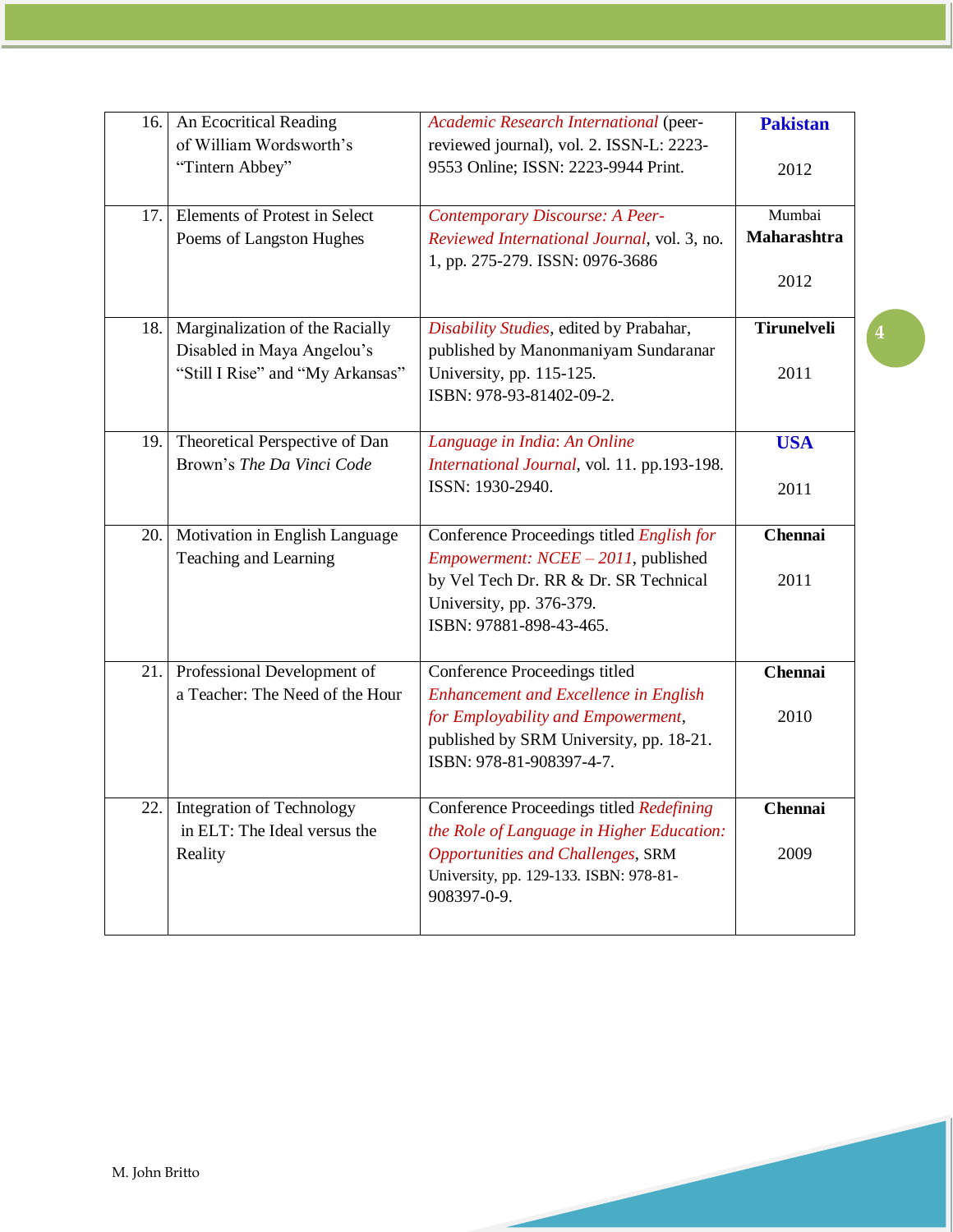| 16. | An Ecocritical Reading           | Academic Research International (peer-       | <b>Pakistan</b>    |
|-----|----------------------------------|----------------------------------------------|--------------------|
|     | of William Wordsworth's          | reviewed journal), vol. 2. ISSN-L: 2223-     |                    |
|     | "Tintern Abbey"                  | 9553 Online; ISSN: 2223-9944 Print.          | 2012               |
| 17. | Elements of Protest in Select    | Contemporary Discourse: A Peer-              | Mumbai             |
|     | Poems of Langston Hughes         | Reviewed International Journal, vol. 3, no.  | Maharashtra        |
|     |                                  | 1, pp. 275-279. ISSN: 0976-3686              |                    |
|     |                                  |                                              | 2012               |
|     |                                  |                                              |                    |
| 18. | Marginalization of the Racially  | Disability Studies, edited by Prabahar,      | <b>Tirunelveli</b> |
|     | Disabled in Maya Angelou's       | published by Manonmaniyam Sundaranar         |                    |
|     | "Still I Rise" and "My Arkansas" | University, pp. 115-125.                     | 2011               |
|     |                                  | ISBN: 978-93-81402-09-2.                     |                    |
| 19. | Theoretical Perspective of Dan   | Language in India: An Online                 | <b>USA</b>         |
|     | Brown's The Da Vinci Code        | International Journal, vol. 11. pp.193-198.  |                    |
|     |                                  | ISSN: 1930-2940.                             | 2011               |
|     |                                  |                                              |                    |
| 20. | Motivation in English Language   | Conference Proceedings titled English for    | <b>Chennai</b>     |
|     | Teaching and Learning            | <i>Empowerment: NCEE - 2011</i> , published  |                    |
|     |                                  | by Vel Tech Dr. RR & Dr. SR Technical        | 2011               |
|     |                                  | University, pp. 376-379.                     |                    |
|     |                                  | ISBN: 97881-898-43-465.                      |                    |
| 21. | Professional Development of      | Conference Proceedings titled                | <b>Chennai</b>     |
|     | a Teacher: The Need of the Hour  | <b>Enhancement and Excellence in English</b> |                    |
|     |                                  | for Employability and Empowerment,           | 2010               |
|     |                                  | published by SRM University, pp. 18-21.      |                    |
|     |                                  | ISBN: 978-81-908397-4-7.                     |                    |
|     | 22. Integration of Technology    | Conference Proceedings titled Redefining     | <b>Chennai</b>     |
|     | in ELT: The Ideal versus the     | the Role of Language in Higher Education:    |                    |
|     | Reality                          | <b>Opportunities and Challenges, SRM</b>     | 2009               |
|     |                                  | University, pp. 129-133. ISBN: 978-81-       |                    |
|     |                                  | 908397-0-9.                                  |                    |
|     |                                  |                                              |                    |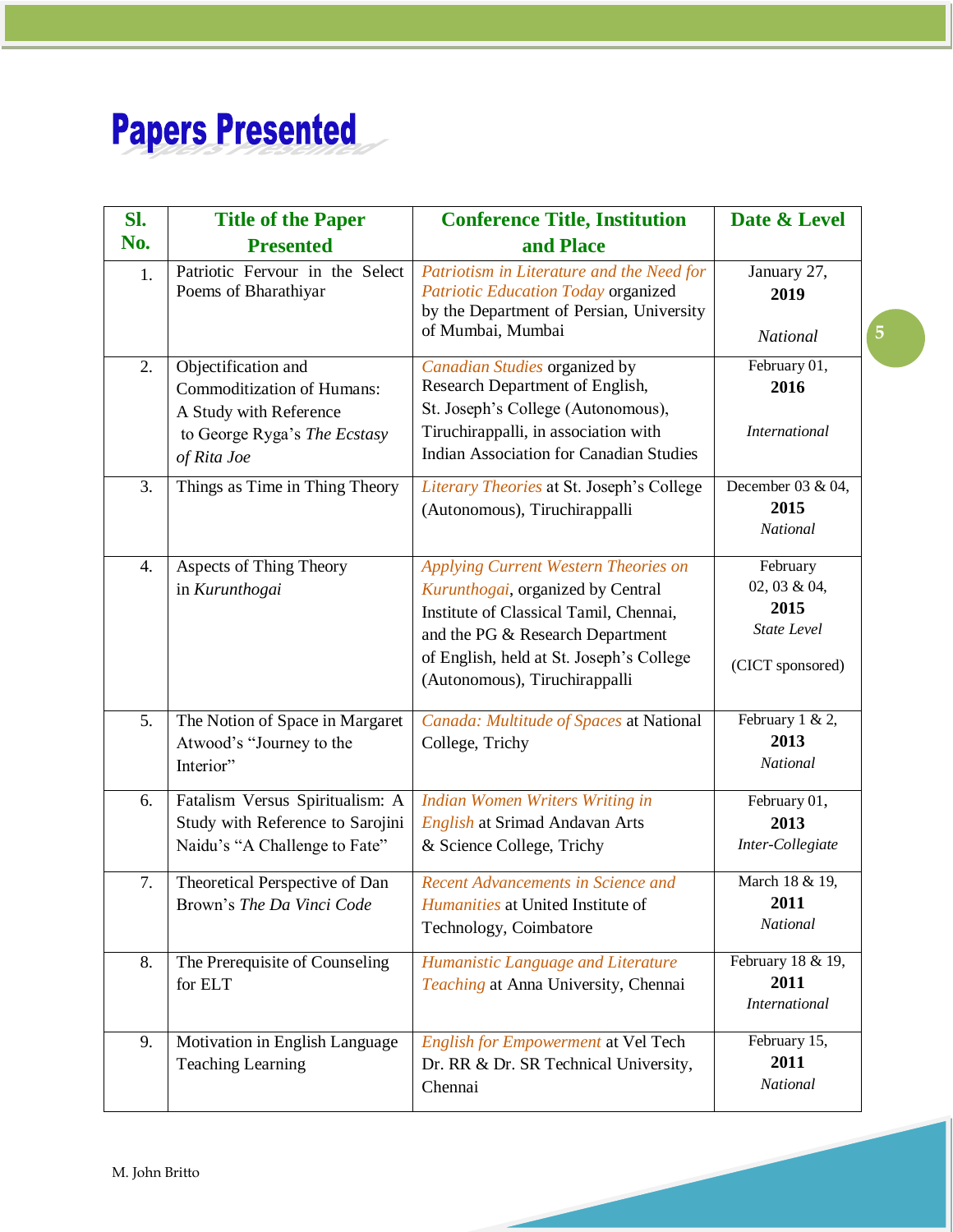# **Papers Presented**

| Sl.              | <b>Title of the Paper</b>                                                                                                         | <b>Conference Title, Institution</b>                                                                                                                                                                                                 | Date & Level                                                               |
|------------------|-----------------------------------------------------------------------------------------------------------------------------------|--------------------------------------------------------------------------------------------------------------------------------------------------------------------------------------------------------------------------------------|----------------------------------------------------------------------------|
| No.              | <b>Presented</b>                                                                                                                  | and Place                                                                                                                                                                                                                            |                                                                            |
| 1.               | Patriotic Fervour in the Select<br>Poems of Bharathiyar                                                                           | Patriotism in Literature and the Need for<br>Patriotic Education Today organized<br>by the Department of Persian, University<br>of Mumbai, Mumbai                                                                                    | January 27,<br>2019<br><b>National</b>                                     |
| 2.               | Objectification and<br><b>Commoditization of Humans:</b><br>A Study with Reference<br>to George Ryga's The Ecstasy<br>of Rita Joe | Canadian Studies organized by<br>Research Department of English,<br>St. Joseph's College (Autonomous),<br>Tiruchirappalli, in association with<br><b>Indian Association for Canadian Studies</b>                                     | February 01,<br>2016<br><i>International</i>                               |
| $\overline{3}$ . | Things as Time in Thing Theory                                                                                                    | Literary Theories at St. Joseph's College<br>(Autonomous), Tiruchirappalli                                                                                                                                                           | December 03 & 04,<br>2015<br><b>National</b>                               |
| 4.               | Aspects of Thing Theory<br>in Kurunthogai                                                                                         | Applying Current Western Theories on<br>Kurunthogai, organized by Central<br>Institute of Classical Tamil, Chennai,<br>and the PG & Research Department<br>of English, held at St. Joseph's College<br>(Autonomous), Tiruchirappalli | February<br>02, 03 & 04,<br>2015<br><b>State Level</b><br>(CICT sponsored) |
| 5.               | The Notion of Space in Margaret<br>Atwood's "Journey to the<br>Interior"                                                          | Canada: Multitude of Spaces at National<br>College, Trichy                                                                                                                                                                           | February 1 & 2,<br>2013<br><b>National</b>                                 |
| 6.               | Fatalism Versus Spiritualism: A<br>Study with Reference to Sarojini<br>Naidu's "A Challenge to Fate"                              | Indian Women Writers Writing in<br><b>English at Srimad Andavan Arts</b><br>& Science College, Trichy                                                                                                                                | February 01,<br>2013<br>Inter-Collegiate                                   |
| 7.               | Theoretical Perspective of Dan<br>Brown's The Da Vinci Code                                                                       | Recent Advancements in Science and<br>Humanities at United Institute of<br>Technology, Coimbatore                                                                                                                                    | March 18 & 19,<br>2011<br>National                                         |
| 8.               | The Prerequisite of Counseling<br>for ELT                                                                                         | Humanistic Language and Literature<br>Teaching at Anna University, Chennai                                                                                                                                                           | February 18 $\overline{\&}$ 19,<br>2011<br><b>International</b>            |
| 9.               | Motivation in English Language<br><b>Teaching Learning</b>                                                                        | <b>English for Empowerment at Vel Tech</b><br>Dr. RR & Dr. SR Technical University,<br>Chennai                                                                                                                                       | February 15,<br>2011<br>National                                           |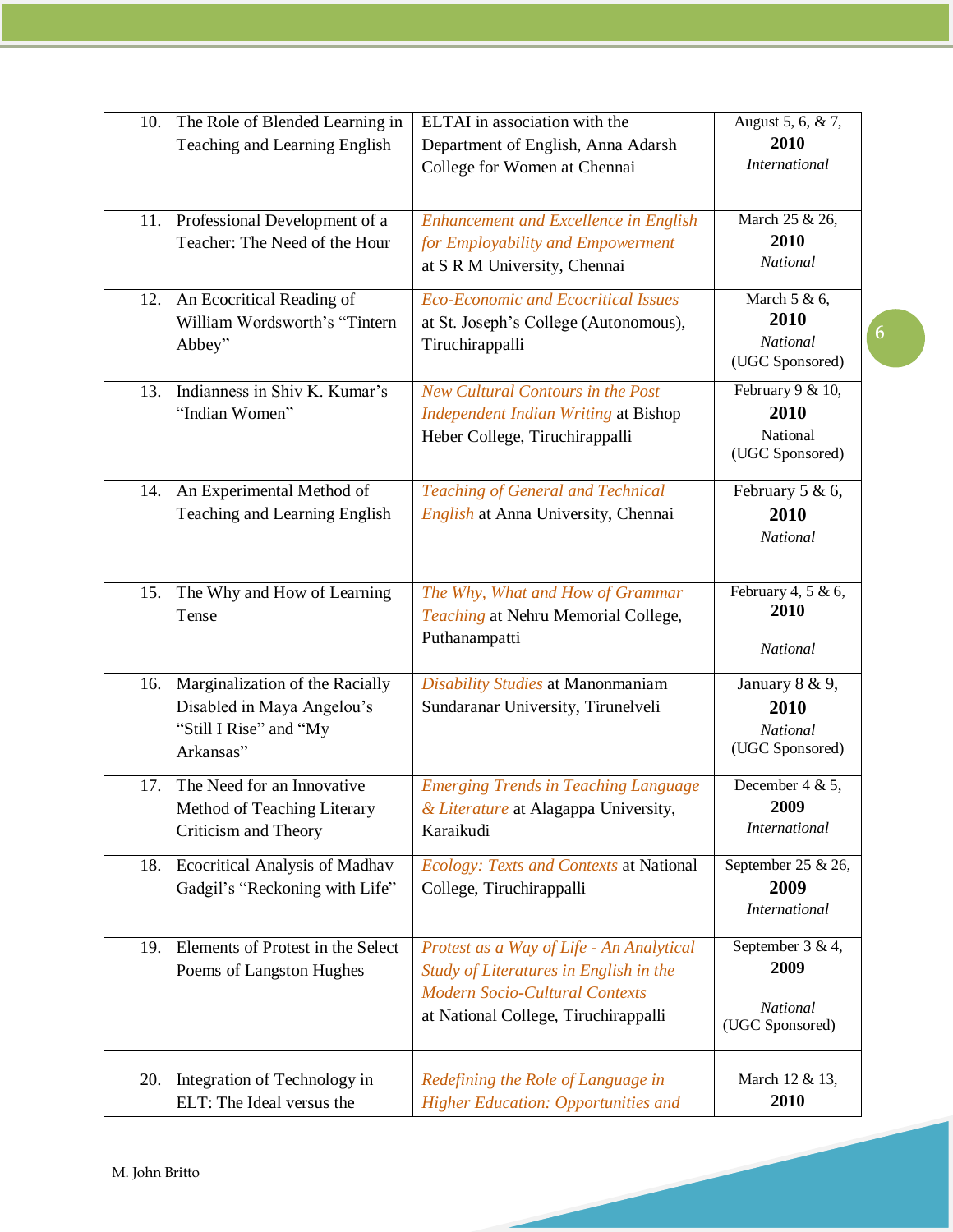| 10. | The Role of Blended Learning in                                                                      | ELTAI in association with the                                                                                                                                       | August 5, 6, & 7,                                             |
|-----|------------------------------------------------------------------------------------------------------|---------------------------------------------------------------------------------------------------------------------------------------------------------------------|---------------------------------------------------------------|
|     | Teaching and Learning English                                                                        | Department of English, Anna Adarsh<br>College for Women at Chennai                                                                                                  | 2010<br><b>International</b>                                  |
| 11. | Professional Development of a<br>Teacher: The Need of the Hour                                       | <b>Enhancement and Excellence in English</b><br>for Employability and Empowerment<br>at S R M University, Chennai                                                   | March 25 & 26,<br>2010<br>National                            |
| 12. | An Ecocritical Reading of<br>William Wordsworth's "Tintern<br>Abbey"                                 | <b>Eco-Economic and Ecocritical Issues</b><br>at St. Joseph's College (Autonomous),<br>Tiruchirappalli                                                              | March $5 & 6$ ,<br>2010<br><b>National</b><br>(UGC Sponsored) |
| 13. | Indianness in Shiv K. Kumar's<br>"Indian Women"                                                      | New Cultural Contours in the Post<br><b>Independent Indian Writing at Bishop</b><br>Heber College, Tiruchirappalli                                                  | February 9 & 10,<br>2010<br>National<br>(UGC Sponsored)       |
| 14. | An Experimental Method of<br>Teaching and Learning English                                           | <b>Teaching of General and Technical</b><br>English at Anna University, Chennai                                                                                     | February 5 & 6,<br>2010<br>National                           |
| 15. | The Why and How of Learning<br>Tense                                                                 | The Why, What and How of Grammar<br><b>Teaching at Nehru Memorial College,</b><br>Puthanampatti                                                                     | February 4, 5 & 6,<br>2010<br><b>National</b>                 |
| 16. | Marginalization of the Racially<br>Disabled in Maya Angelou's<br>"Still I Rise" and "My<br>Arkansas" | Disability Studies at Manonmaniam<br>Sundaranar University, Tirunelveli                                                                                             | January 8 & 9,<br>2010<br><b>National</b><br>(UGC Sponsored)  |
| 17. | The Need for an Innovative<br>Method of Teaching Literary<br>Criticism and Theory                    | <b>Emerging Trends in Teaching Language</b><br>& Literature at Alagappa University,<br>Karaikudi                                                                    | December $4 & 5$ ,<br>2009<br><i>International</i>            |
| 18. | Ecocritical Analysis of Madhav<br>Gadgil's "Reckoning with Life"                                     | Ecology: Texts and Contexts at National<br>College, Tiruchirappalli                                                                                                 | September 25 & 26,<br>2009<br><b>International</b>            |
| 19. | Elements of Protest in the Select<br>Poems of Langston Hughes                                        | Protest as a Way of Life - An Analytical<br>Study of Literatures in English in the<br><b>Modern Socio-Cultural Contexts</b><br>at National College, Tiruchirappalli | September 3 & 4,<br>2009<br>National<br>(UGC Sponsored)       |
| 20. | Integration of Technology in<br>ELT: The Ideal versus the                                            | Redefining the Role of Language in<br><b>Higher Education: Opportunities and</b>                                                                                    | March 12 & 13,<br>2010                                        |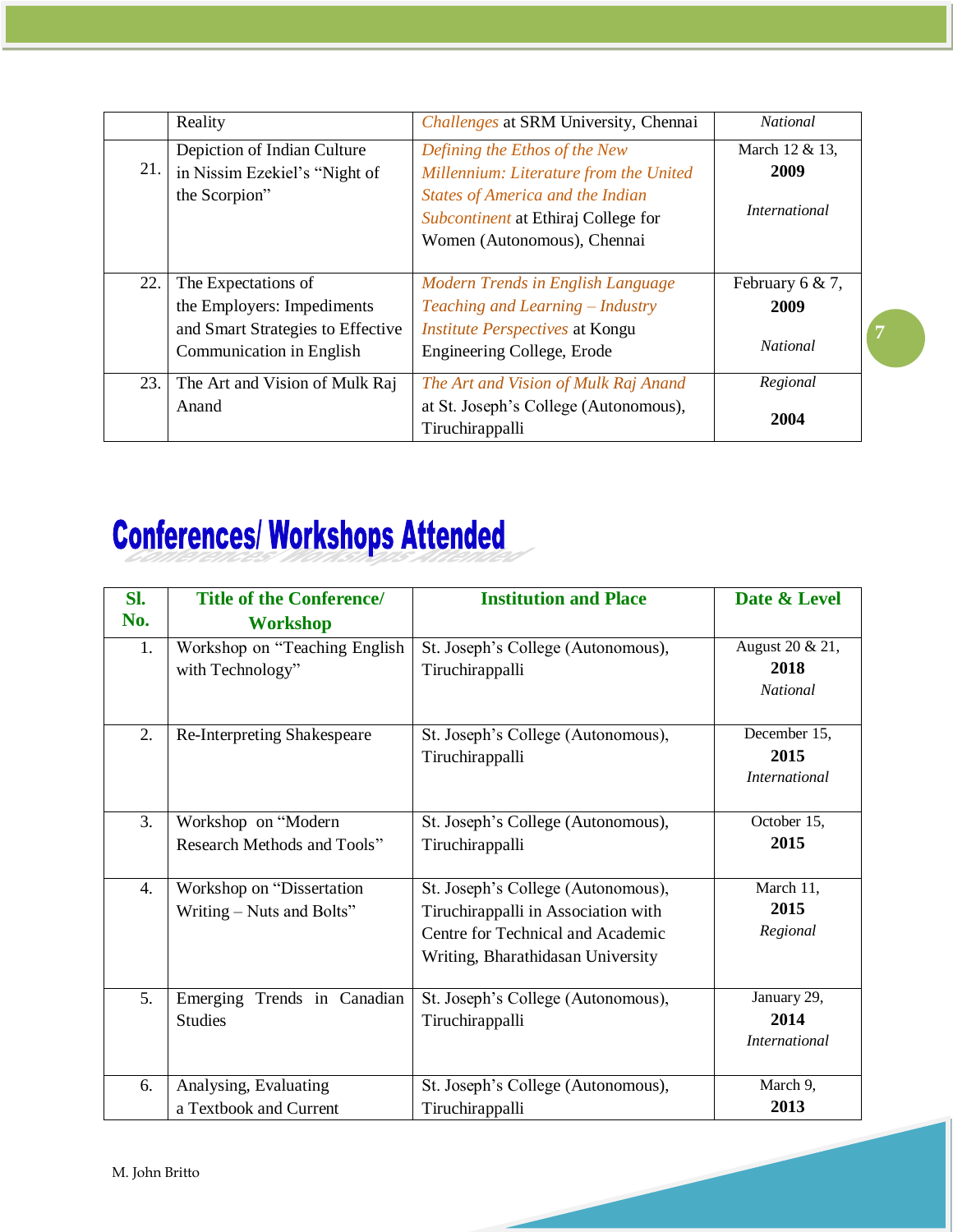|     | Reality                                                                                                            | <i>Challenges</i> at SRM University, Chennai                                                                                                                                             | <b>National</b>                            |
|-----|--------------------------------------------------------------------------------------------------------------------|------------------------------------------------------------------------------------------------------------------------------------------------------------------------------------------|--------------------------------------------|
| 21. | Depiction of Indian Culture<br>in Nissim Ezekiel's "Night of<br>the Scorpion"                                      | Defining the Ethos of the New<br>Millennium: Literature from the United<br><b>States of America and the Indian</b><br>Subcontinent at Ethiraj College for<br>Women (Autonomous), Chennai | March 12 & 13,<br>2009<br>International    |
| 22. | The Expectations of<br>the Employers: Impediments<br>and Smart Strategies to Effective<br>Communication in English | Modern Trends in English Language<br>Teaching and Learning - Industry<br><i><b>Institute Perspectives at Kongu</b></i><br>Engineering College, Erode                                     | February 6 & 7,<br>2009<br><b>National</b> |
| 23. | The Art and Vision of Mulk Raj<br>Anand                                                                            | The Art and Vision of Mulk Raj Anand<br>at St. Joseph's College (Autonomous),<br>Tiruchirappalli                                                                                         | Regional<br>2004                           |

# **Conferences/ Workshops Attended**

| SI. | <b>Title of the Conference/</b> | <b>Institution and Place</b>        | Date & Level         |  |
|-----|---------------------------------|-------------------------------------|----------------------|--|
| No. | <b>Workshop</b>                 |                                     |                      |  |
| 1.  | Workshop on "Teaching English   | St. Joseph's College (Autonomous),  | August 20 & 21,      |  |
|     | with Technology"                | Tiruchirappalli                     | 2018                 |  |
|     |                                 |                                     | <b>National</b>      |  |
| 2.  | Re-Interpreting Shakespeare     | St. Joseph's College (Autonomous),  | December 15,         |  |
|     |                                 | Tiruchirappalli                     | 2015                 |  |
|     |                                 |                                     | <i>International</i> |  |
| 3.  | Workshop on "Modern             | St. Joseph's College (Autonomous),  | October 15,          |  |
|     | Research Methods and Tools"     | Tiruchirappalli                     | 2015                 |  |
|     |                                 |                                     |                      |  |
| 4.  | Workshop on "Dissertation"      | St. Joseph's College (Autonomous),  | March 11,            |  |
|     | Writing – Nuts and Bolts"       | Tiruchirappalli in Association with | 2015                 |  |
|     |                                 | Centre for Technical and Academic   | Regional             |  |
|     |                                 | Writing, Bharathidasan University   |                      |  |
| 5.  | Emerging<br>Trends in Canadian  | St. Joseph's College (Autonomous),  | January 29,          |  |
|     | <b>Studies</b>                  | Tiruchirappalli                     | 2014                 |  |
|     |                                 |                                     | <i>International</i> |  |
| 6.  | Analysing, Evaluating           | St. Joseph's College (Autonomous),  | March 9,             |  |
|     | a Textbook and Current          | Tiruchirappalli                     | 2013                 |  |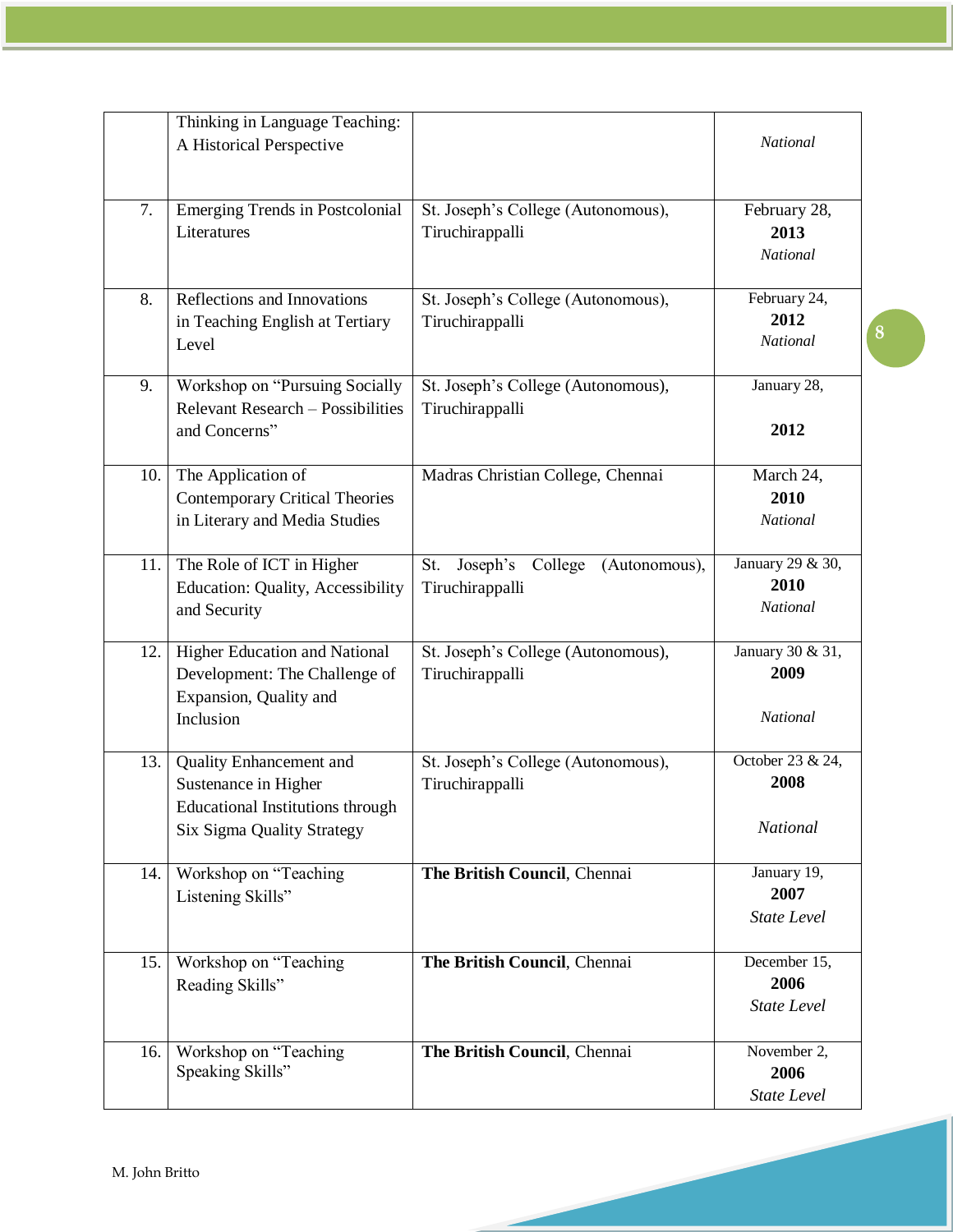|     | Thinking in Language Teaching:<br>A Historical Perspective                                                               |                                                                | National                                    |
|-----|--------------------------------------------------------------------------------------------------------------------------|----------------------------------------------------------------|---------------------------------------------|
|     |                                                                                                                          |                                                                |                                             |
| 7.  | <b>Emerging Trends in Postcolonial</b><br>Literatures                                                                    | St. Joseph's College (Autonomous),<br>Tiruchirappalli          | February 28,<br>2013<br>National            |
| 8.  | Reflections and Innovations<br>in Teaching English at Tertiary<br>Level                                                  | St. Joseph's College (Autonomous),<br>Tiruchirappalli          | February 24,<br>2012<br><b>National</b>     |
| 9.  | Workshop on "Pursuing Socially<br>Relevant Research - Possibilities<br>and Concerns"                                     | St. Joseph's College (Autonomous),<br>Tiruchirappalli          | January 28,<br>2012                         |
| 10. | The Application of<br><b>Contemporary Critical Theories</b><br>in Literary and Media Studies                             | Madras Christian College, Chennai                              | March 24,<br>2010<br><b>National</b>        |
| 11. | The Role of ICT in Higher<br><b>Education: Quality, Accessibility</b><br>and Security                                    | St.<br>Joseph's<br>College<br>(Autonomous),<br>Tiruchirappalli | January 29 & 30,<br>2010<br><b>National</b> |
| 12. | Higher Education and National<br>Development: The Challenge of<br>Expansion, Quality and<br>Inclusion                    | St. Joseph's College (Autonomous),<br>Tiruchirappalli          | January 30 & 31,<br>2009<br><b>National</b> |
| 13. | Quality Enhancement and<br>Sustenance in Higher<br><b>Educational Institutions through</b><br>Six Sigma Quality Strategy | St. Joseph's College (Autonomous),<br>Tiruchirappalli          | October 23 & 24,<br>2008<br>National        |
| 14. | Workshop on "Teaching<br>Listening Skills"                                                                               | The British Council, Chennai                                   | January 19,<br>2007<br><b>State Level</b>   |
| 15. | Workshop on "Teaching"<br>Reading Skills"                                                                                | The British Council, Chennai                                   | December 15,<br>2006<br><b>State Level</b>  |
| 16. | Workshop on "Teaching<br>Speaking Skills"                                                                                | The British Council, Chennai                                   | November 2,<br>2006<br><b>State Level</b>   |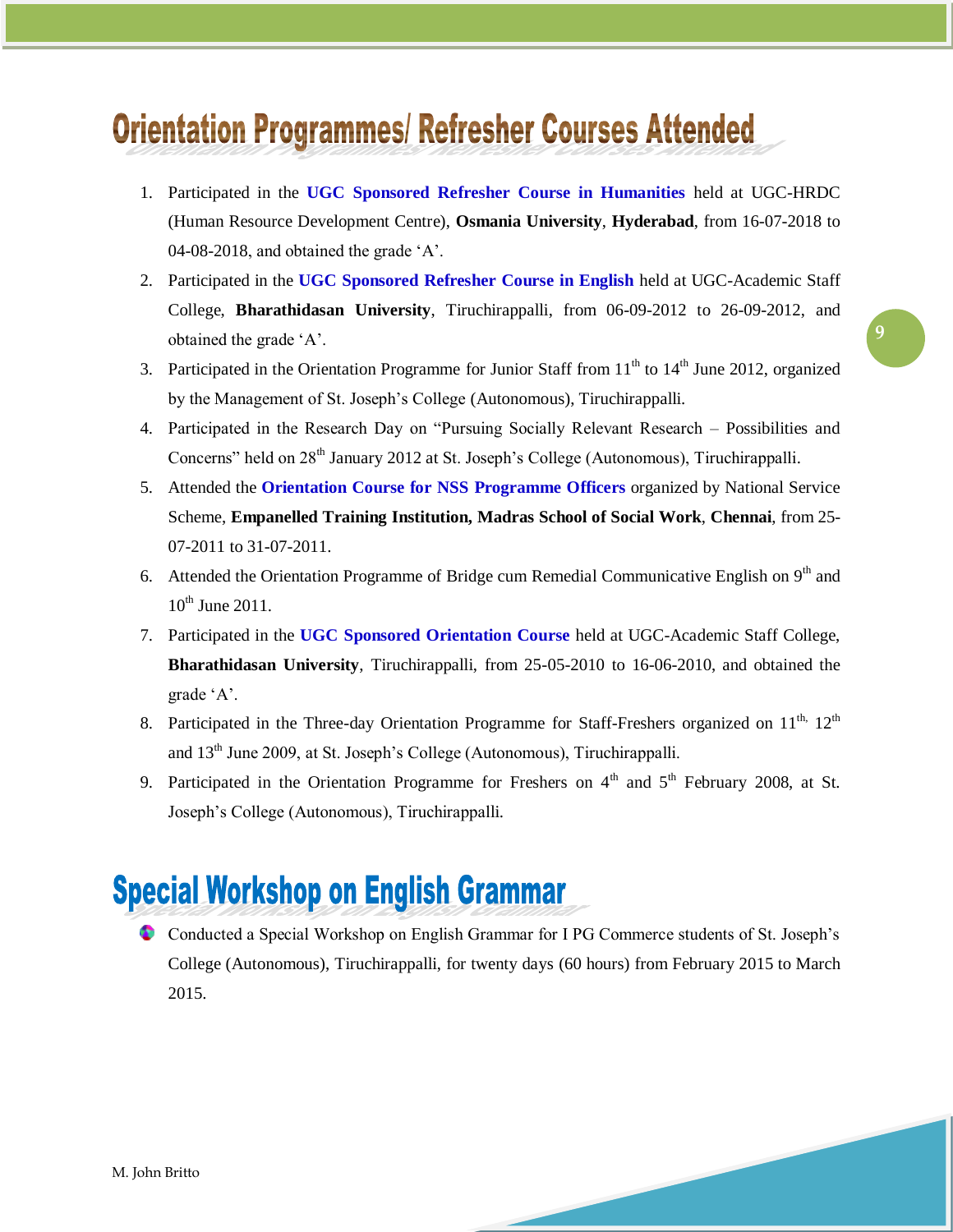# **Orientation Programmes/ Refresher Courses Attended**

- 1. Participated in the **UGC Sponsored Refresher Course in Humanities** held at UGC-HRDC (Human Resource Development Centre), **Osmania University**, **Hyderabad**, from 16-07-2018 to 04-08-2018, and obtained the grade "A".
- 2. Participated in the **UGC Sponsored Refresher Course in English** held at UGC-Academic Staff College, **Bharathidasan University**, Tiruchirappalli, from 06-09-2012 to 26-09-2012, and obtained the grade 'A'.
- 3. Participated in the Orientation Programme for Junior Staff from  $11<sup>th</sup>$  to  $14<sup>th</sup>$  June 2012, organized by the Management of St. Joseph"s College (Autonomous), Tiruchirappalli.
- 4. Participated in the Research Day on "Pursuing Socially Relevant Research Possibilities and Concerns" held on 28<sup>th</sup> January 2012 at St. Joseph's College (Autonomous), Tiruchirappalli.
- 5. Attended the **Orientation Course for NSS Programme Officers** organized by National Service Scheme, **Empanelled Training Institution, Madras School of Social Work**, **Chennai**, from 25- 07-2011 to 31-07-2011.
- 6. Attended the Orientation Programme of Bridge cum Remedial Communicative English on  $9<sup>th</sup>$  and  $10^{th}$  June 2011.
- 7. Participated in the **UGC Sponsored Orientation Course** held at UGC-Academic Staff College, **Bharathidasan University**, Tiruchirappalli, from 25-05-2010 to 16-06-2010, and obtained the grade "A".
- 8. Participated in the Three-day Orientation Programme for Staff-Freshers organized on  $11<sup>th</sup>$ ,  $12<sup>th</sup>$ and 13<sup>th</sup> June 2009, at St. Joseph's College (Autonomous), Tiruchirappalli.
- 9. Participated in the Orientation Programme for Freshers on  $4<sup>th</sup>$  and  $5<sup>th</sup>$  February 2008, at St. Joseph"s College (Autonomous), Tiruchirappalli.

# **Special Workshop on English Grammar**

Conducted a Special Workshop on English Grammar for I PG Commerce students of St. Joseph"s College (Autonomous), Tiruchirappalli, for twenty days (60 hours) from February 2015 to March 2015.



**9**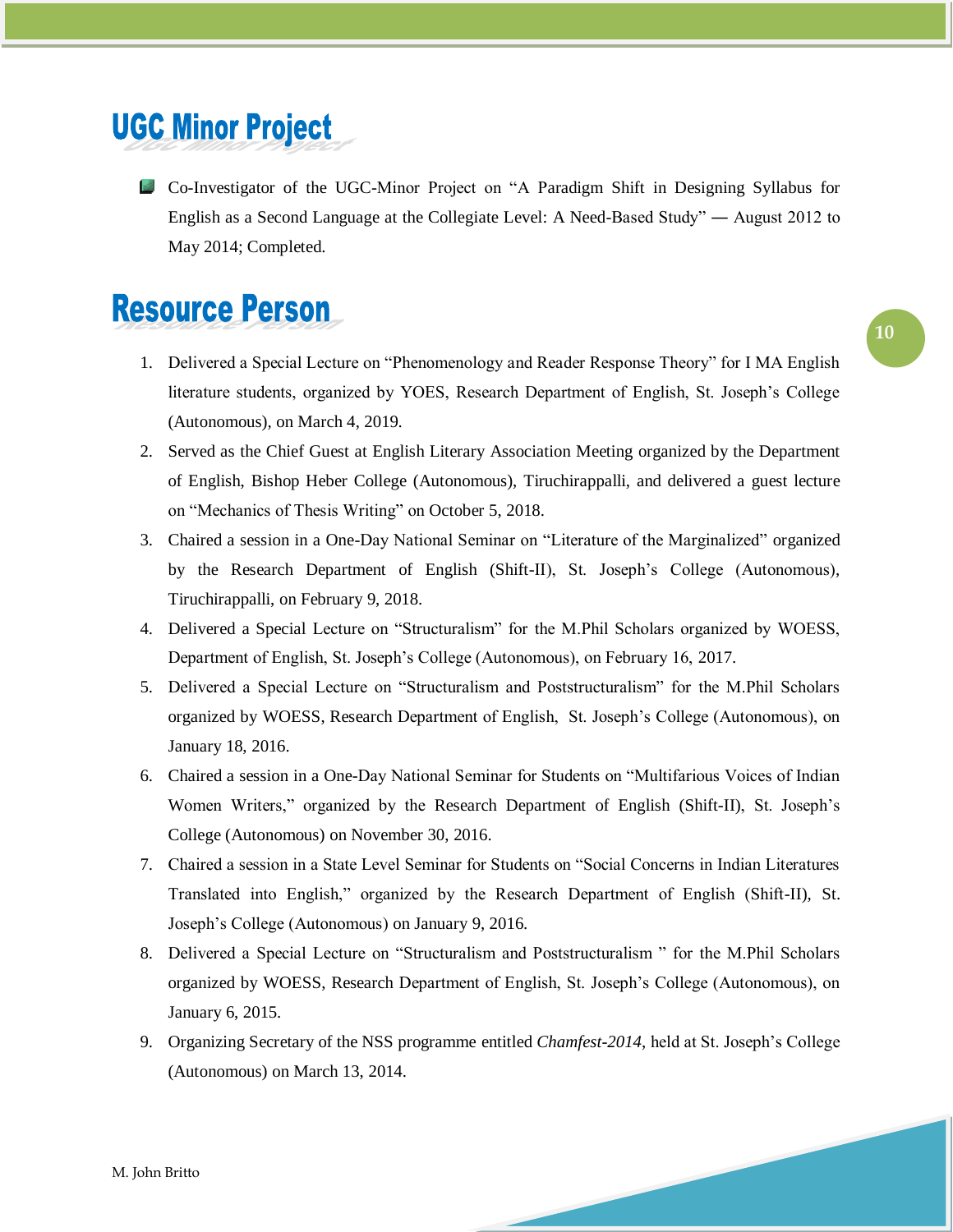### **UGC Minor Project**

Co-Investigator of the UGC-Minor Project on "A Paradigm Shift in Designing Syllabus for English as a Second Language at the Collegiate Level: A Need-Based Study" ― August 2012 to May 2014; Completed.

#### **Resource Person**

- 1. Delivered a Special Lecture on "Phenomenology and Reader Response Theory" for I MA English literature students, organized by YOES, Research Department of English, St. Joseph's College (Autonomous), on March 4, 2019.
- 2. Served as the Chief Guest at English Literary Association Meeting organized by the Department of English, Bishop Heber College (Autonomous), Tiruchirappalli, and delivered a guest lecture on "Mechanics of Thesis Writing" on October 5, 2018.
- 3. Chaired a session in a One-Day National Seminar on "Literature of the Marginalized" organized by the Research Department of English (Shift-II), St. Joseph"s College (Autonomous), Tiruchirappalli, on February 9, 2018.
- 4. Delivered a Special Lecture on "Structuralism" for the M.Phil Scholars organized by WOESS, Department of English, St. Joseph"s College (Autonomous), on February 16, 2017.
- 5. Delivered a Special Lecture on "Structuralism and Poststructuralism" for the M.Phil Scholars organized by WOESS, Research Department of English, St. Joseph"s College (Autonomous), on January 18, 2016.
- 6. Chaired a session in a One-Day National Seminar for Students on "Multifarious Voices of Indian Women Writers," organized by the Research Department of English (Shift-II), St. Joseph"s College (Autonomous) on November 30, 2016.
- 7. Chaired a session in a State Level Seminar for Students on "Social Concerns in Indian Literatures Translated into English," organized by the Research Department of English (Shift-II), St. Joseph"s College (Autonomous) on January 9, 2016.
- 8. Delivered a Special Lecture on "Structuralism and Poststructuralism " for the M.Phil Scholars organized by WOESS, Research Department of English, St. Joseph"s College (Autonomous), on January 6, 2015.
- 9. Organizing Secretary of the NSS programme entitled *Chamfest-2014*, held at St. Joseph"s College (Autonomous) on March 13, 2014.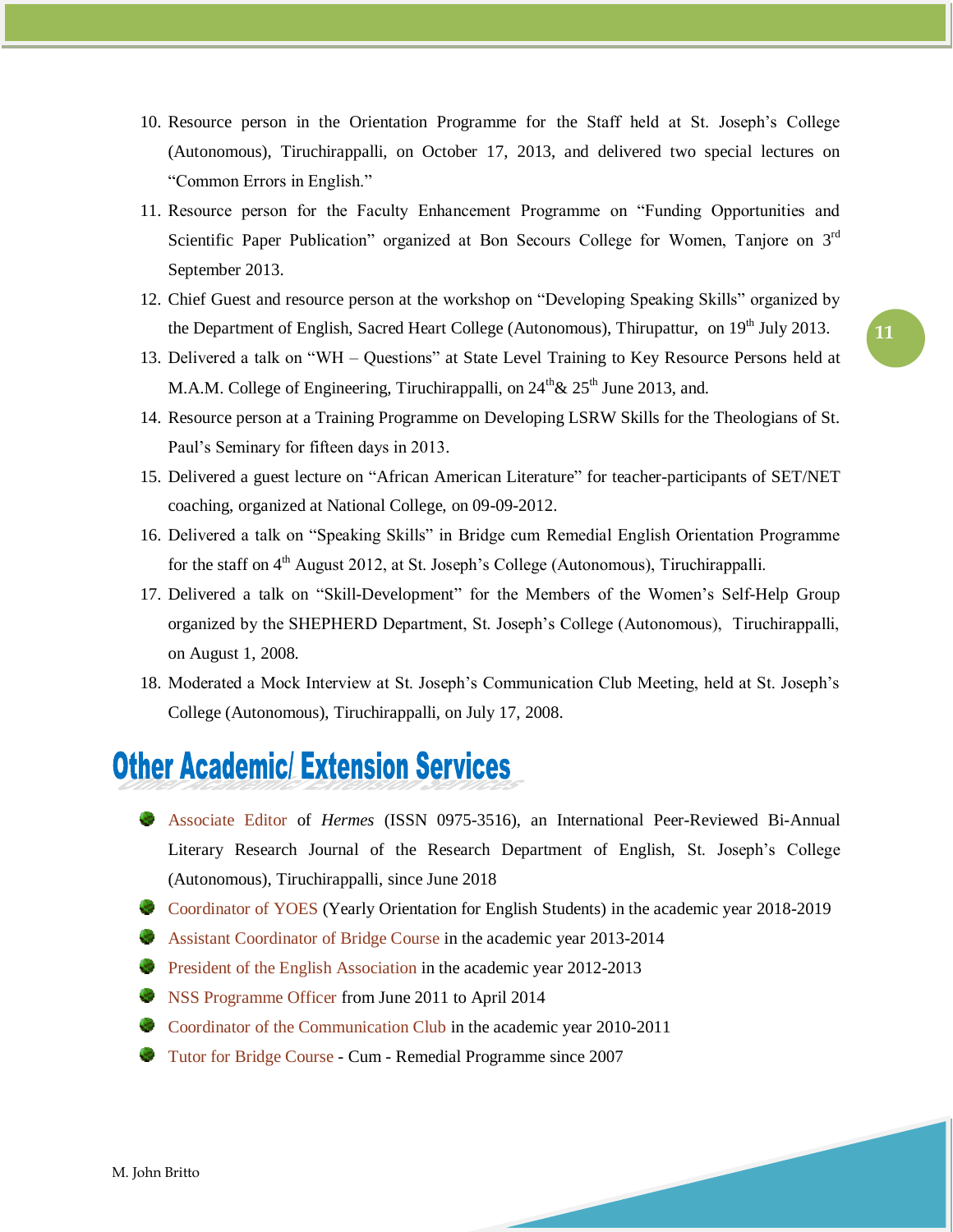- 10. Resource person in the Orientation Programme for the Staff held at St. Joseph"s College (Autonomous), Tiruchirappalli, on October 17, 2013, and delivered two special lectures on "Common Errors in English."
- 11. Resource person for the Faculty Enhancement Programme on "Funding Opportunities and Scientific Paper Publication" organized at Bon Secours College for Women, Tanjore on 3<sup>rd</sup> September 2013.
- 12. Chief Guest and resource person at the workshop on "Developing Speaking Skills" organized by the Department of English, Sacred Heart College (Autonomous), Thirupattur, on  $19<sup>th</sup>$  July 2013.
- 13. Delivered a talk on "WH Questions" at State Level Training to Key Resource Persons held at M.A.M. College of Engineering, Tiruchirappalli, on  $24^{th}\& 25^{th}$  June 2013, and.
- 14. Resource person at a Training Programme on Developing LSRW Skills for the Theologians of St. Paul"s Seminary for fifteen days in 2013.
- 15. Delivered a guest lecture on "African American Literature" for teacher-participants of SET/NET coaching, organized at National College, on 09-09-2012.
- 16. Delivered a talk on "Speaking Skills" in Bridge cum Remedial English Orientation Programme for the staff on  $4<sup>th</sup>$  August 2012, at St. Joseph's College (Autonomous), Tiruchirappalli.
- 17. Delivered a talk on "Skill-Development" for the Members of the Women"s Self-Help Group organized by the SHEPHERD Department, St. Joseph"s College (Autonomous), Tiruchirappalli, on August 1, 2008.
- 18. Moderated a Mock Interview at St. Joseph"s Communication Club Meeting, held at St. Joseph"s College (Autonomous), Tiruchirappalli, on July 17, 2008.

#### **Other Academic/Extension Services**

- Associate Editor of *Hermes* (ISSN 0975-3516), an International Peer-Reviewed Bi-Annual Literary Research Journal of the Research Department of English, St. Joseph"s College (Autonomous), Tiruchirappalli, since June 2018
- Coordinator of YOES (Yearly Orientation for English Students) in the academic year 2018-2019
- Assistant Coordinator of Bridge Course in the academic year 2013-2014
- **President of the English Association in the academic year 2012-2013**
- **NSS Programme Officer from June 2011 to April 2014**
- Coordinator of the Communication Club in the academic year 2010-2011
- Tutor for Bridge Course Cum Remedial Programme since 2007

**11**